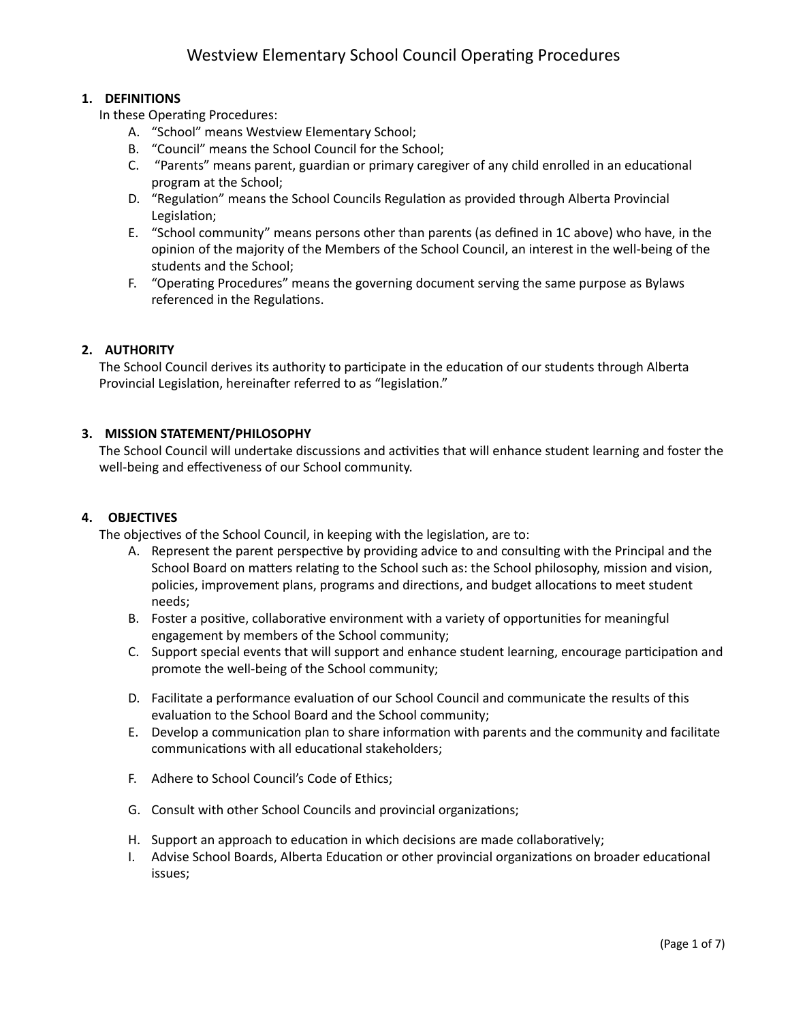# **1. DEFINITIONS**

In these Operating Procedures:

- A. "School" means Westview Elementary School;
- B. "Council" means the School Council for the School;
- C. "Parents" means parent, guardian or primary caregiver of any child enrolled in an educational program at the School;
- D. "Regulation" means the School Councils Regulation as provided through Alberta Provincial Legislation;
- E. "School community" means persons other than parents (as defined in 1C above) who have, in the opinion of the majority of the Members of the School Council, an interest in the well-being of the students and the School;
- F. "Operating Procedures" means the governing document serving the same purpose as Bylaws referenced in the Regulations.

#### **2. AUTHORITY**

The School Council derives its authority to participate in the education of our students through Alberta Provincial Legislation, hereinafter referred to as "legislation."

#### **3. MISSION STATEMENT/PHILOSOPHY**

The School Council will undertake discussions and activities that will enhance student learning and foster the well-being and effectiveness of our School community.

#### **4. OBJECTIVES**

The objectives of the School Council, in keeping with the legislation, are to:

- A. Represent the parent perspective by providing advice to and consulting with the Principal and the School Board on matters relating to the School such as: the School philosophy, mission and vision, policies, improvement plans, programs and directions, and budget allocations to meet student needs;
- B. Foster a positive, collaborative environment with a variety of opportunities for meaningful engagement by members of the School community;
- C. Support special events that will support and enhance student learning, encourage participation and promote the well-being of the School community;
- D. Facilitate a performance evaluation of our School Council and communicate the results of this evaluation to the School Board and the School community;
- E. Develop a communication plan to share information with parents and the community and facilitate communications with all educational stakeholders;
- F. Adhere to School Council's Code of Ethics;
- G. Consult with other School Councils and provincial organizations;
- H. Support an approach to education in which decisions are made collaboratively;
- I. Advise School Boards, Alberta Education or other provincial organizations on broader educational issues;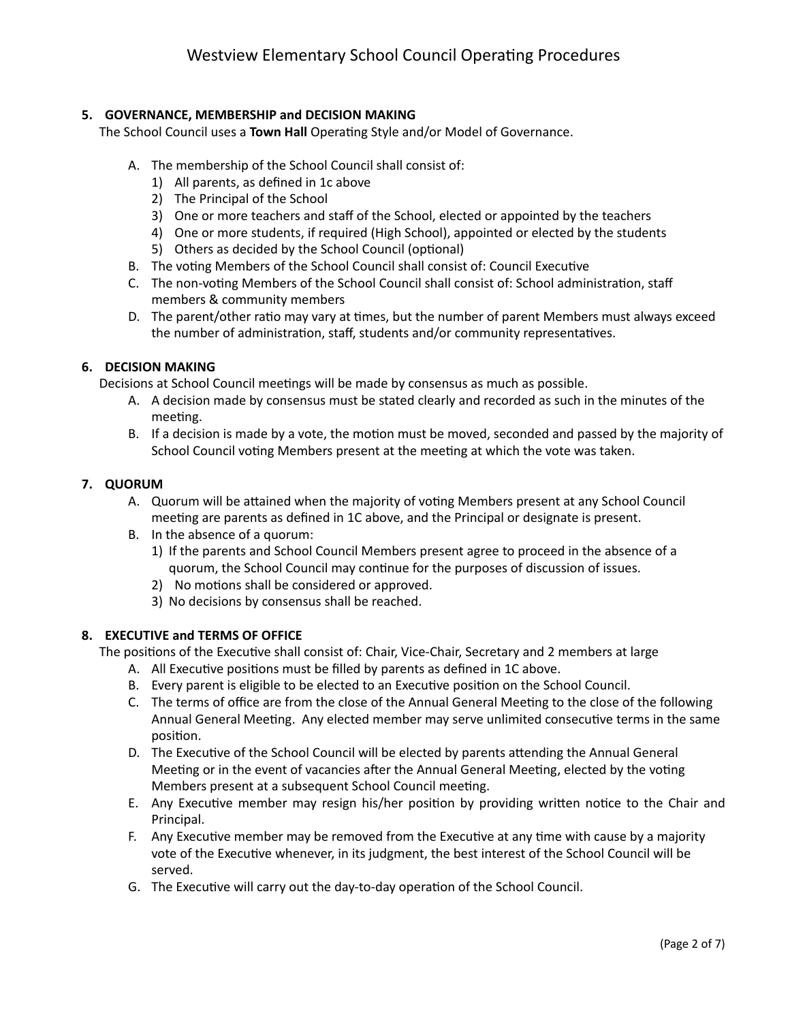# **5. GOVERNANCE, MEMBERSHIP and DECISION MAKING**

The School Council uses a Town Hall Operating Style and/or Model of Governance.

- A. The membership of the School Council shall consist of:
	- 1) All parents, as defined in 1c above
	- 2) The Principal of the School
	- 3) One or more teachers and staff of the School, elected or appointed by the teachers
	- 4) One or more students, if required (High School), appointed or elected by the students
	- 5) Others as decided by the School Council (optional)
- B. The voting Members of the School Council shall consist of: Council Executive
- C. The non-voting Members of the School Council shall consist of: School administration, staff members & community members
- D. The parent/other ratio may vary at times, but the number of parent Members must always exceed the number of administration, staff, students and/or community representatives.

#### **6. DECISION MAKING**

Decisions at School Council meetings will be made by consensus as much as possible.

- A. A decision made by consensus must be stated clearly and recorded as such in the minutes of the meeting.
- B. If a decision is made by a vote, the motion must be moved, seconded and passed by the majority of School Council voting Members present at the meeting at which the vote was taken.

#### **7. QUORUM**

- A. Quorum will be attained when the majority of voting Members present at any School Council meeting are parents as defined in 1C above, and the Principal or designate is present.
- B. In the absence of a quorum:
	- 1) If the parents and School Council Members present agree to proceed in the absence of a quorum, the School Council may continue for the purposes of discussion of issues.
	- 2) No motions shall be considered or approved.
	- 3) No decisions by consensus shall be reached.

#### **8. EXECUTIVE and TERMS OF OFFICE**

The positions of the Executive shall consist of: Chair, Vice-Chair, Secretary and 2 members at large

- A. All Executive positions must be filled by parents as defined in 1C above.
- B. Every parent is eligible to be elected to an Executive position on the School Council.
- C. The terms of office are from the close of the Annual General Meeting to the close of the following Annual General Meeting. Any elected member may serve unlimited consecutive terms in the same position.
- D. The Executive of the School Council will be elected by parents attending the Annual General Meeting or in the event of vacancies after the Annual General Meeting, elected by the voting Members present at a subsequent School Council meeting.
- E. Any Executive member may resign his/her position by providing written notice to the Chair and Principal.
- F. Any Executive member may be removed from the Executive at any time with cause by a majority vote of the Executive whenever, in its judgment, the best interest of the School Council will be served.
- G. The Executive will carry out the day-to-day operation of the School Council.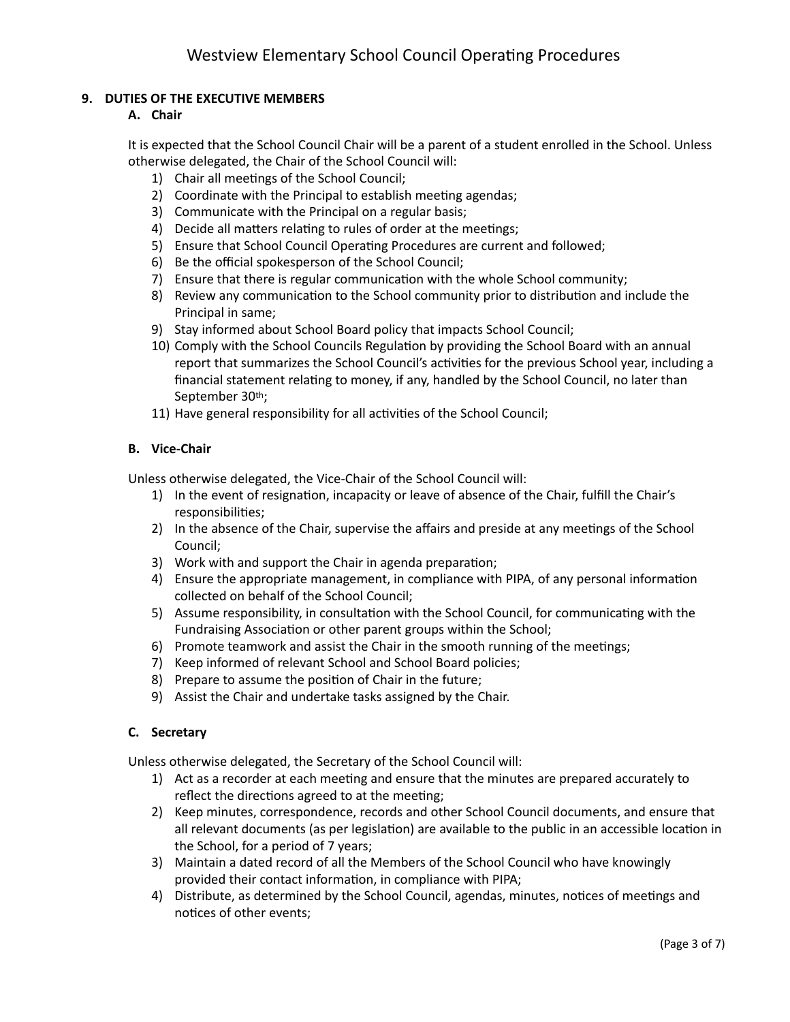# **9. DUTIES OF THE EXECUTIVE MEMBERS**

## **A. Chair**

It is expected that the School Council Chair will be a parent of a student enrolled in the School. Unless otherwise delegated, the Chair of the School Council will:

- 1) Chair all meetings of the School Council;
- 2) Coordinate with the Principal to establish meeting agendas;
- 3) Communicate with the Principal on a regular basis;
- 4) Decide all matters relating to rules of order at the meetings;
- 5) Ensure that School Council Operating Procedures are current and followed;
- 6) Be the official spokesperson of the School Council;
- 7) Ensure that there is regular communication with the whole School community;
- 8) Review any communication to the School community prior to distribution and include the Principal in same;
- 9) Stay informed about School Board policy that impacts School Council;
- 10) Comply with the School Councils Regulation by providing the School Board with an annual report that summarizes the School Council's activities for the previous School year, including a financial statement relating to money, if any, handled by the School Council, no later than September 30th;
- 11) Have general responsibility for all activities of the School Council;

#### **B. Vice-Chair**

Unless otherwise delegated, the Vice-Chair of the School Council will:

- 1) In the event of resignation, incapacity or leave of absence of the Chair, fulfill the Chair's responsibilities;
- 2) In the absence of the Chair, supervise the affairs and preside at any meetings of the School Council;
- 3) Work with and support the Chair in agenda preparation;
- 4) Ensure the appropriate management, in compliance with PIPA, of any personal information collected on behalf of the School Council;
- 5) Assume responsibility, in consultation with the School Council, for communicating with the Fundraising Association or other parent groups within the School;
- 6) Promote teamwork and assist the Chair in the smooth running of the meetings;
- 7) Keep informed of relevant School and School Board policies;
- 8) Prepare to assume the position of Chair in the future;
- 9) Assist the Chair and undertake tasks assigned by the Chair.

#### **C. Secretary**

Unless otherwise delegated, the Secretary of the School Council will:

- 1) Act as a recorder at each meeting and ensure that the minutes are prepared accurately to reflect the directions agreed to at the meeting;
- 2) Keep minutes, correspondence, records and other School Council documents, and ensure that all relevant documents (as per legislation) are available to the public in an accessible location in the School, for a period of 7 years;
- 3) Maintain a dated record of all the Members of the School Council who have knowingly provided their contact information, in compliance with PIPA;
- 4) Distribute, as determined by the School Council, agendas, minutes, notices of meetings and notices of other events;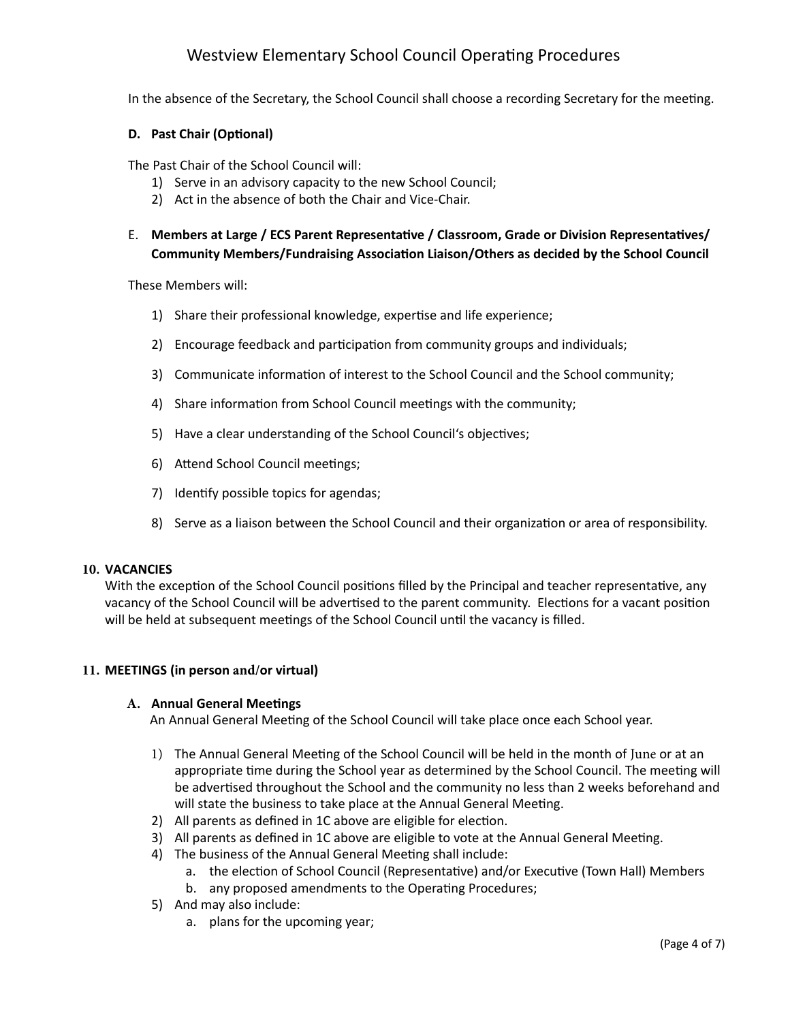# Westview Elementary School Council Operating Procedures

In the absence of the Secretary, the School Council shall choose a recording Secretary for the meeting.

#### **D.** Past Chair (Optional)

The Past Chair of the School Council will:

- 1) Serve in an advisory capacity to the new School Council;
- 2) Act in the absence of both the Chair and Vice-Chair.
- E. Members at Large / ECS Parent Representative / Classroom, Grade or Division Representatives/ **Community Members/Fundraising Association Liaison/Others as decided by the School Council**

These Members will:

- 1) Share their professional knowledge, expertise and life experience;
- 2) Encourage feedback and participation from community groups and individuals;
- 3) Communicate information of interest to the School Council and the School community;
- 4) Share information from School Council meetings with the community;
- 5) Have a clear understanding of the School Council's objectives;
- 6) Attend School Council meetings;
- 7) Identify possible topics for agendas;
- 8) Serve as a liaison between the School Council and their organization or area of responsibility.

#### **10. VACANCIES**

With the exception of the School Council positions filled by the Principal and teacher representative, any vacancy of the School Council will be advertised to the parent community. Elections for a vacant position will be held at subsequent meetings of the School Council until the vacancy is filled.

#### **11. MEETINGS (in person and/or virtual)**

#### **A.** Annual General Meetings

An Annual General Meeting of the School Council will take place once each School year.

- 1) The Annual General Meeting of the School Council will be held in the month of June or at an appropriate time during the School year as determined by the School Council. The meeting will be advertised throughout the School and the community no less than 2 weeks beforehand and will state the business to take place at the Annual General Meeting.
- 2) All parents as defined in 1C above are eligible for election.
- 3) All parents as defined in 1C above are eligible to vote at the Annual General Meeting.
- 4) The business of the Annual General Meeting shall include:
	- a. the election of School Council (Representative) and/or Executive (Town Hall) Members
	- b. any proposed amendments to the Operating Procedures;
- 5) And may also include:
	- a. plans for the upcoming year;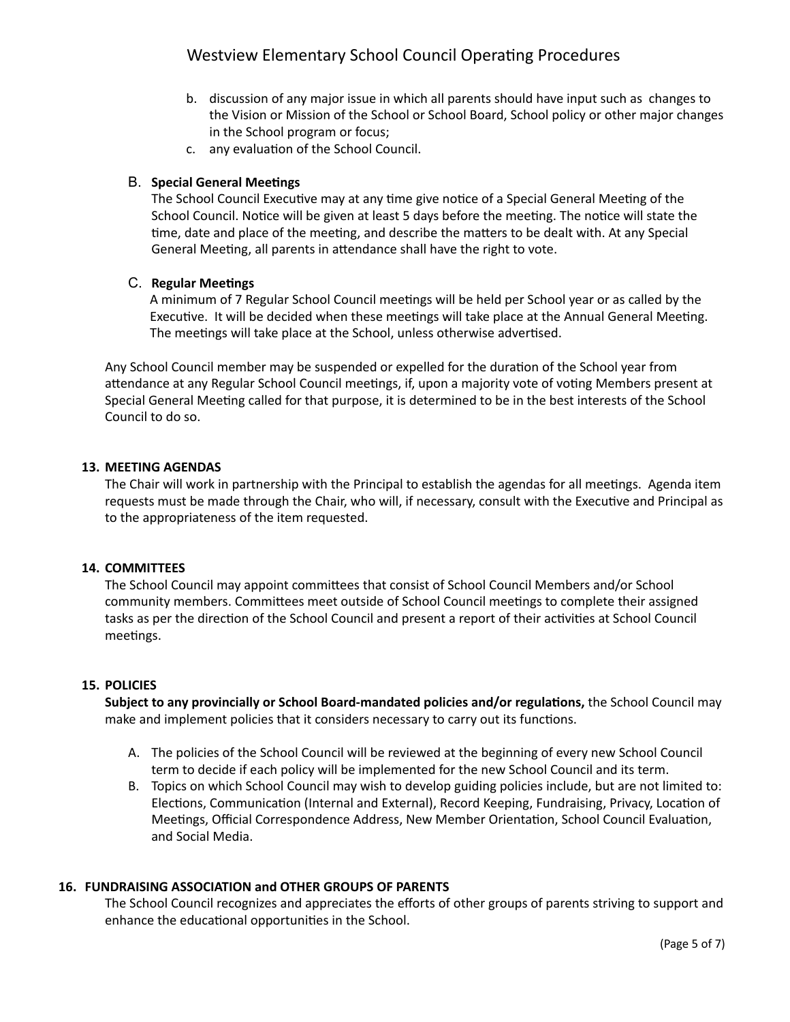- b. discussion of any major issue in which all parents should have input such as changes to the Vision or Mission of the School or School Board, School policy or other major changes in the School program or focus;
- c. any evaluation of the School Council.

## **B.** Special General Meetings

The School Council Executive may at any time give notice of a Special General Meeting of the School Council. Notice will be given at least 5 days before the meeting. The notice will state the time, date and place of the meeting, and describe the matters to be dealt with. At any Special General Meeting, all parents in attendance shall have the right to vote.

## **C.** Regular Meetings

A minimum of 7 Regular School Council meetings will be held per School year or as called by the Executive. It will be decided when these meetings will take place at the Annual General Meeting. The meetings will take place at the School, unless otherwise advertised.

Any School Council member may be suspended or expelled for the duration of the School year from attendance at any Regular School Council meetings, if, upon a majority vote of voting Members present at Special General Meeting called for that purpose, it is determined to be in the best interests of the School Council to do so.

#### **13. MEETING AGENDAS**

The Chair will work in partnership with the Principal to establish the agendas for all meetings. Agenda item requests must be made through the Chair, who will, if necessary, consult with the Executive and Principal as to the appropriateness of the item requested.

#### **14. COMMITTEES**

The School Council may appoint committees that consist of School Council Members and/or School community members. Committees meet outside of School Council meetings to complete their assigned tasks as per the direction of the School Council and present a report of their activities at School Council meetings.

#### **15. POLICIES**

Subject to any provincially or School Board-mandated policies and/or regulations, the School Council may make and implement policies that it considers necessary to carry out its functions.

- A. The policies of the School Council will be reviewed at the beginning of every new School Council term to decide if each policy will be implemented for the new School Council and its term.
- B. Topics on which School Council may wish to develop guiding policies include, but are not limited to: Elections, Communication (Internal and External), Record Keeping, Fundraising, Privacy, Location of Meetings, Official Correspondence Address, New Member Orientation, School Council Evaluation, and Social Media.

#### **16. FUNDRAISING ASSOCIATION and OTHER GROUPS OF PARENTS**

The School Council recognizes and appreciates the efforts of other groups of parents striving to support and enhance the educational opportunities in the School.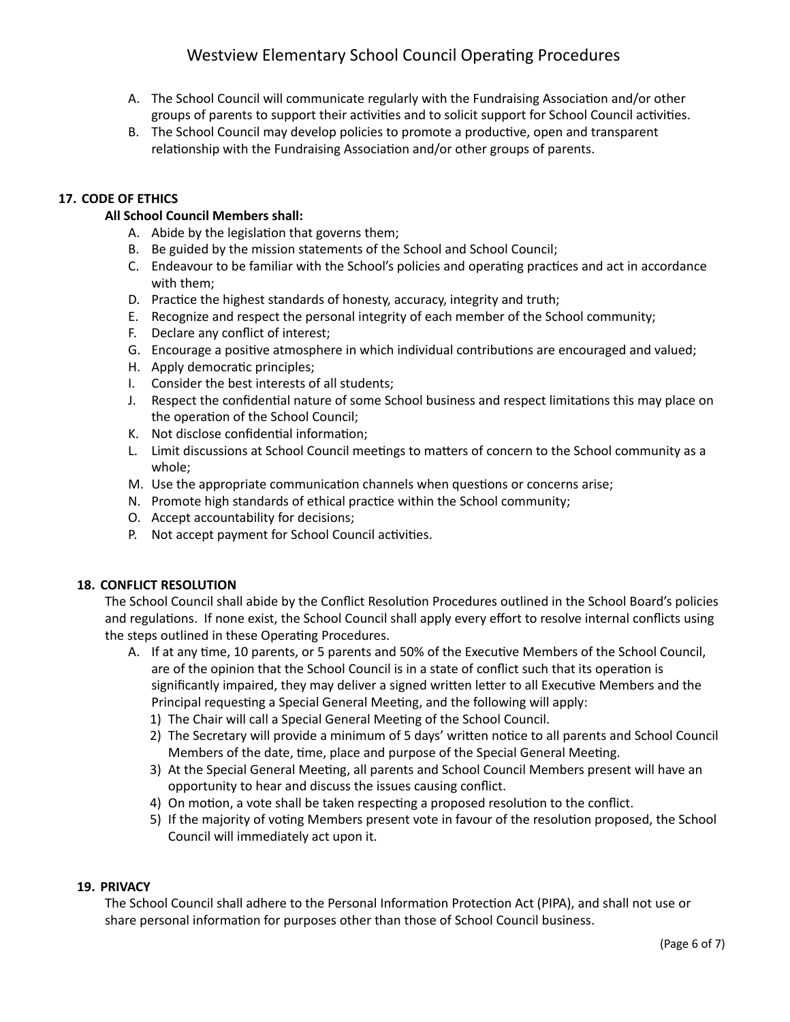# Westview Elementary School Council Operating Procedures

- A. The School Council will communicate regularly with the Fundraising Association and/or other groups of parents to support their activities and to solicit support for School Council activities.
- B. The School Council may develop policies to promote a productive, open and transparent relationship with the Fundraising Association and/or other groups of parents.

## **17. CODE OF ETHICS**

## **All School Council Members shall:**

- A. Abide by the legislation that governs them;
- B. Be guided by the mission statements of the School and School Council;
- C. Endeavour to be familiar with the School's policies and operating practices and act in accordance with them;
- D. Practice the highest standards of honesty, accuracy, integrity and truth;
- E. Recognize and respect the personal integrity of each member of the School community;
- F. Declare any conflict of interest;
- G. Encourage a positive atmosphere in which individual contributions are encouraged and valued;
- H. Apply democratic principles;
- I. Consider the best interests of all students;
- J. Respect the confidential nature of some School business and respect limitations this may place on the operation of the School Council;
- K. Not disclose confidential information;
- L. Limit discussions at School Council meetings to matters of concern to the School community as a whole;
- M. Use the appropriate communication channels when questions or concerns arise;
- N. Promote high standards of ethical practice within the School community;
- O. Accept accountability for decisions;
- P. Not accept payment for School Council activities.

#### **18. CONFLICT RESOLUTION**

The School Council shall abide by the Conflict Resolution Procedures outlined in the School Board's policies and regulations. If none exist, the School Council shall apply every effort to resolve internal conflicts using the steps outlined in these Operating Procedures.

- A. If at any time, 10 parents, or 5 parents and 50% of the Executive Members of the School Council, are of the opinion that the School Council is in a state of conflict such that its operation is significantly impaired, they may deliver a signed written letter to all Executive Members and the Principal requesting a Special General Meeting, and the following will apply:
	- 1) The Chair will call a Special General Meeting of the School Council.
	- 2) The Secretary will provide a minimum of 5 days' written notice to all parents and School Council Members of the date, time, place and purpose of the Special General Meeting.
	- 3) At the Special General Meeting, all parents and School Council Members present will have an opportunity to hear and discuss the issues causing conflict.
	- 4) On motion, a vote shall be taken respecting a proposed resolution to the conflict.
	- 5) If the majority of voting Members present vote in favour of the resolution proposed, the School Council will immediately act upon it.

#### **19. PRIVACY**

The School Council shall adhere to the Personal Information Protection Act (PIPA), and shall not use or share personal information for purposes other than those of School Council business.